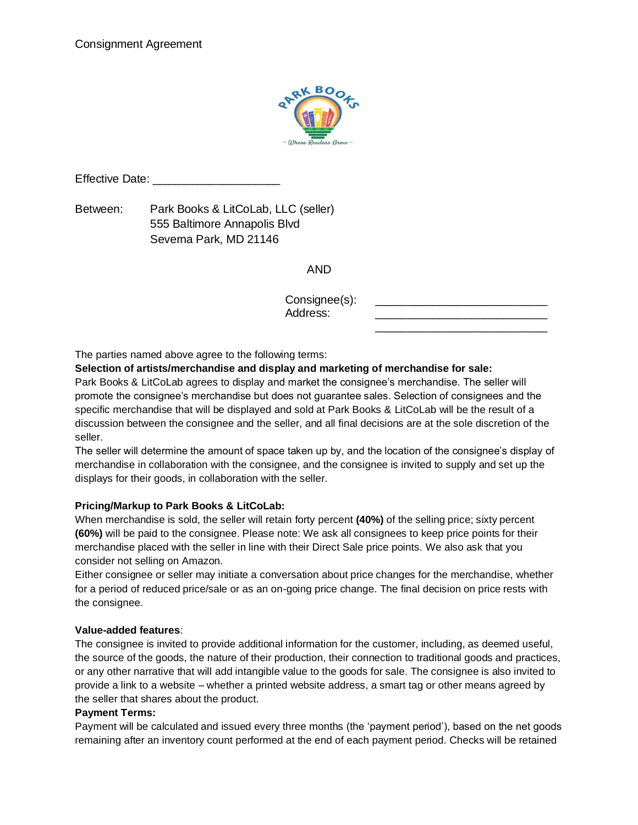

Effective Date: \_\_\_\_\_\_\_\_\_\_\_\_\_\_\_\_\_\_\_\_

Between: Park Books & LitCoLab, LLC (seller) 555 Baltimore Annapolis Blvd Severna Park, MD 21146

AND

Consignee(s): Address:  $\frac{1}{2}$  ,  $\frac{1}{2}$  ,  $\frac{1}{2}$  ,  $\frac{1}{2}$  ,  $\frac{1}{2}$  ,  $\frac{1}{2}$  ,  $\frac{1}{2}$  ,  $\frac{1}{2}$  ,  $\frac{1}{2}$  ,  $\frac{1}{2}$  ,  $\frac{1}{2}$  ,  $\frac{1}{2}$  ,  $\frac{1}{2}$  ,  $\frac{1}{2}$  ,  $\frac{1}{2}$  ,  $\frac{1}{2}$  ,  $\frac{1}{2}$  ,  $\frac{1}{2}$  ,  $\frac{1$ 

The parties named above agree to the following terms:

**Selection of artists/merchandise and display and marketing of merchandise for sale:** 

Park Books & LitCoLab agrees to display and market the consignee's merchandise. The seller will promote the consignee's merchandise but does not guarantee sales. Selection of consignees and the specific merchandise that will be displayed and sold at Park Books & LitCoLab will be the result of a discussion between the consignee and the seller, and all final decisions are at the sole discretion of the seller.

The seller will determine the amount of space taken up by, and the location of the consignee's display of merchandise in collaboration with the consignee, and the consignee is invited to supply and set up the displays for their goods, in collaboration with the seller.

# **Pricing/Markup to Park Books & LitCoLab:**

When merchandise is sold, the seller will retain forty percent **(40%)** of the selling price; sixty percent **(60%)** will be paid to the consignee. Please note: We ask all consignees to keep price points for their merchandise placed with the seller in line with their Direct Sale price points. We also ask that you consider not selling on Amazon.

Either consignee or seller may initiate a conversation about price changes for the merchandise, whether for a period of reduced price/sale or as an on-going price change. The final decision on price rests with the consignee.

## **Value-added features**:

The consignee is invited to provide additional information for the customer, including, as deemed useful, the source of the goods, the nature of their production, their connection to traditional goods and practices, or any other narrative that will add intangible value to the goods for sale. The consignee is also invited to provide a link to a website – whether a printed website address, a smart tag or other means agreed by the seller that shares about the product.

## **Payment Terms:**

Payment will be calculated and issued every three months (the 'payment period'), based on the net goods remaining after an inventory count performed at the end of each payment period. Checks will be retained